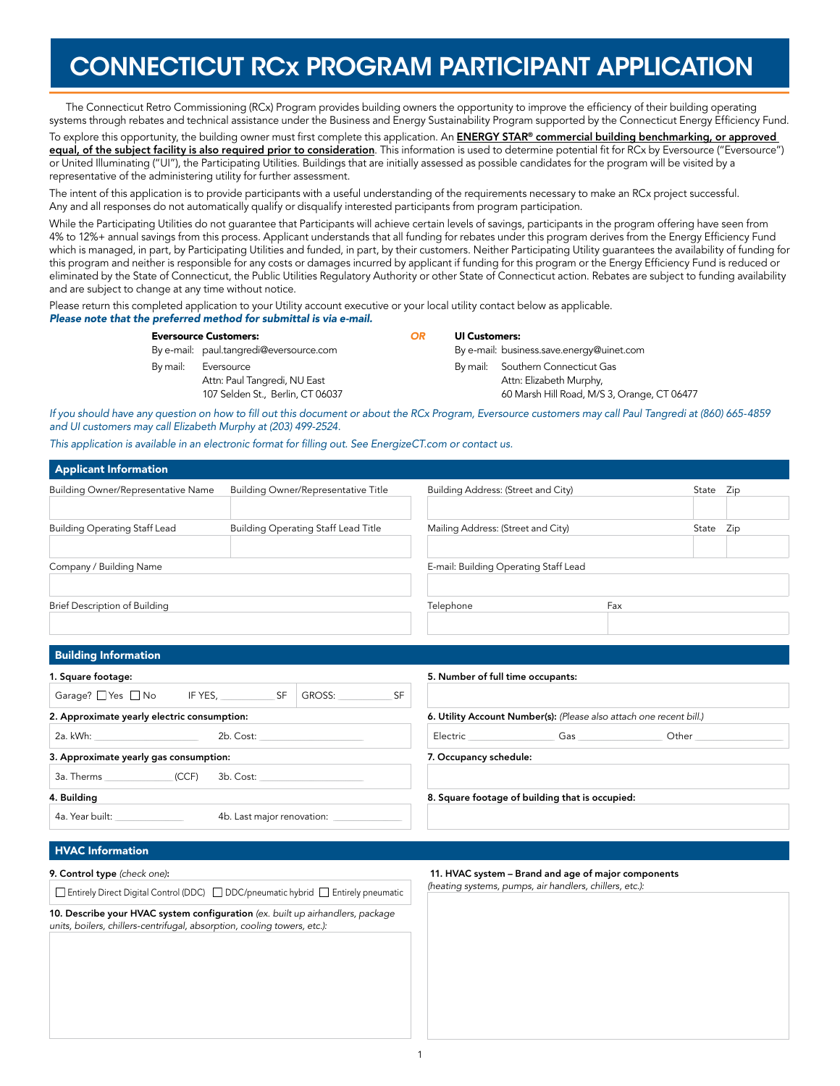# CONNECTICUT RCx PROGRAM PARTICIPANT APPLICATION

The Connecticut Retro Commissioning (RCx) Program provides building owners the opportunity to improve the efficiency of their building operating systems through rebates and technical assistance under the Business and Energy Sustainability Program supported by the Connecticut Energy Efficiency Fund.

To explore this opportunity, the building owner must first complete this application. An **ENERGY STAR® commercial building benchmarking, or approved** equal, of the subject facility is also required prior to consideration. This information is used to determine potential fit for RCx by Eversource ("Eversource") or United Illuminating ("UI"), the Participating Utilities. Buildings that are initially assessed as possible candidates for the program will be visited by a representative of the administering utility for further assessment.

The intent of this application is to provide participants with a useful understanding of the requirements necessary to make an RCx project successful. Any and all responses do not automatically qualify or disqualify interested participants from program participation.

While the Participating Utilities do not guarantee that Participants will achieve certain levels of savings, participants in the program offering have seen from 4% to 12%+ annual savings from this process. Applicant understands that all funding for rebates under this program derives from the Energy Efficiency Fund which is managed, in part, by Participating Utilities and funded, in part, by their customers. Neither Participating Utility guarantees the availability of funding for this program and neither is responsible for any costs or damages incurred by applicant if funding for this program or the Energy Efficiency Fund is reduced or eliminated by the State of Connecticut, the Public Utilities Regulatory Authority or other State of Connecticut action. Rebates are subject to funding availability and are subject to change at any time without notice.

Please return this completed application to your Utility account executive or your local utility contact below as applicable. *Please note that the preferred method for submittal is via e-mail.*

| <b>Eversource Customers:</b> |                                         | OR | <b>UI Customers:</b> |                                             |  |  |
|------------------------------|-----------------------------------------|----|----------------------|---------------------------------------------|--|--|
|                              | By e-mail: paul.tangredi@eversource.com |    |                      | By e-mail: business.save.energy@uinet.com   |  |  |
| By mail:                     | Eversource                              |    |                      | By mail: Southern Connecticut Gas           |  |  |
|                              | Attn: Paul Tangredi, NU East            |    |                      | Attn: Elizabeth Murphy,                     |  |  |
|                              | 107 Selden St., Berlin, CT 06037        |    |                      | 60 Marsh Hill Road, M/S 3, Orange, CT 06477 |  |  |

*If you should have any question on how to fill out this document or about the RCx Program, Eversource customers may call Paul Tangredi at (860) 665-4859 and UI customers may call Elizabeth Murphy at (203) 499-2524.*

*This application is available in an electronic format for filling out. See [EnergizeCT.com](http://www.energizect.com/businesses/programs/Retro-Commissioning) or contact us.*

| <b>Applicant Information</b>                                                                                                                               |           |                                            |                                       |                                                                     |       |           |  |
|------------------------------------------------------------------------------------------------------------------------------------------------------------|-----------|--------------------------------------------|---------------------------------------|---------------------------------------------------------------------|-------|-----------|--|
| <b>Building Owner/Representative Name</b>                                                                                                                  |           | <b>Building Owner/Representative Title</b> | Building Address: (Street and City)   |                                                                     |       | State Zip |  |
|                                                                                                                                                            |           |                                            |                                       |                                                                     |       |           |  |
| <b>Building Operating Staff Lead</b>                                                                                                                       |           | <b>Building Operating Staff Lead Title</b> | Mailing Address: (Street and City)    |                                                                     |       | State Zip |  |
|                                                                                                                                                            |           |                                            |                                       |                                                                     |       |           |  |
| Company / Building Name                                                                                                                                    |           |                                            | E-mail: Building Operating Staff Lead |                                                                     |       |           |  |
|                                                                                                                                                            |           |                                            |                                       |                                                                     |       |           |  |
| Brief Description of Building                                                                                                                              |           |                                            | Telephone                             |                                                                     | Fax   |           |  |
|                                                                                                                                                            |           |                                            |                                       |                                                                     |       |           |  |
| <b>Building Information</b>                                                                                                                                |           |                                            |                                       |                                                                     |       |           |  |
| 1. Square footage:                                                                                                                                         |           |                                            | 5. Number of full time occupants:     |                                                                     |       |           |  |
| Garage? Yes No IF YES, SF                                                                                                                                  |           | <b>GROSS:</b><br>SF                        |                                       |                                                                     |       |           |  |
| 2. Approximate yearly electric consumption:                                                                                                                |           |                                            |                                       | 6. Utility Account Number(s): (Please also attach one recent bill.) |       |           |  |
| 2a. kWh: www.astronomia.com                                                                                                                                | 2b. Cost: |                                            |                                       | Electric Gas Gas                                                    | Other |           |  |
| 3. Approximate yearly gas consumption:                                                                                                                     |           |                                            | 7. Occupancy schedule:                |                                                                     |       |           |  |
| 3a. Therms (CCF)                                                                                                                                           | 3b. Cost: |                                            |                                       |                                                                     |       |           |  |
| 4. Building                                                                                                                                                |           |                                            |                                       | 8. Square footage of building that is occupied:                     |       |           |  |
| 4b. Last major renovation:<br>4a. Year built: The Search Search Search Search Search Search Search Search Search Search Search Search Search               |           |                                            |                                       |                                                                     |       |           |  |
|                                                                                                                                                            |           |                                            |                                       |                                                                     |       |           |  |
| <b>HVAC Information</b>                                                                                                                                    |           |                                            |                                       |                                                                     |       |           |  |
| 9. Control type (check one):                                                                                                                               |           |                                            |                                       | 11. HVAC system - Brand and age of major components                 |       |           |  |
| □ Entirely Direct Digital Control (DDC) □ DDC/pneumatic hybrid □ Entirely pneumatic                                                                        |           |                                            |                                       | (heating systems, pumps, air handlers, chillers, etc.):             |       |           |  |
| 10. Describe your HVAC system configuration (ex. built up airhandlers, package<br>units, boilers, chillers-centrifugal, absorption, cooling towers, etc.): |           |                                            |                                       |                                                                     |       |           |  |
|                                                                                                                                                            |           |                                            |                                       |                                                                     |       |           |  |
|                                                                                                                                                            |           |                                            |                                       |                                                                     |       |           |  |
|                                                                                                                                                            |           |                                            |                                       |                                                                     |       |           |  |
|                                                                                                                                                            |           |                                            |                                       |                                                                     |       |           |  |
|                                                                                                                                                            |           |                                            |                                       |                                                                     |       |           |  |
|                                                                                                                                                            |           |                                            |                                       |                                                                     |       |           |  |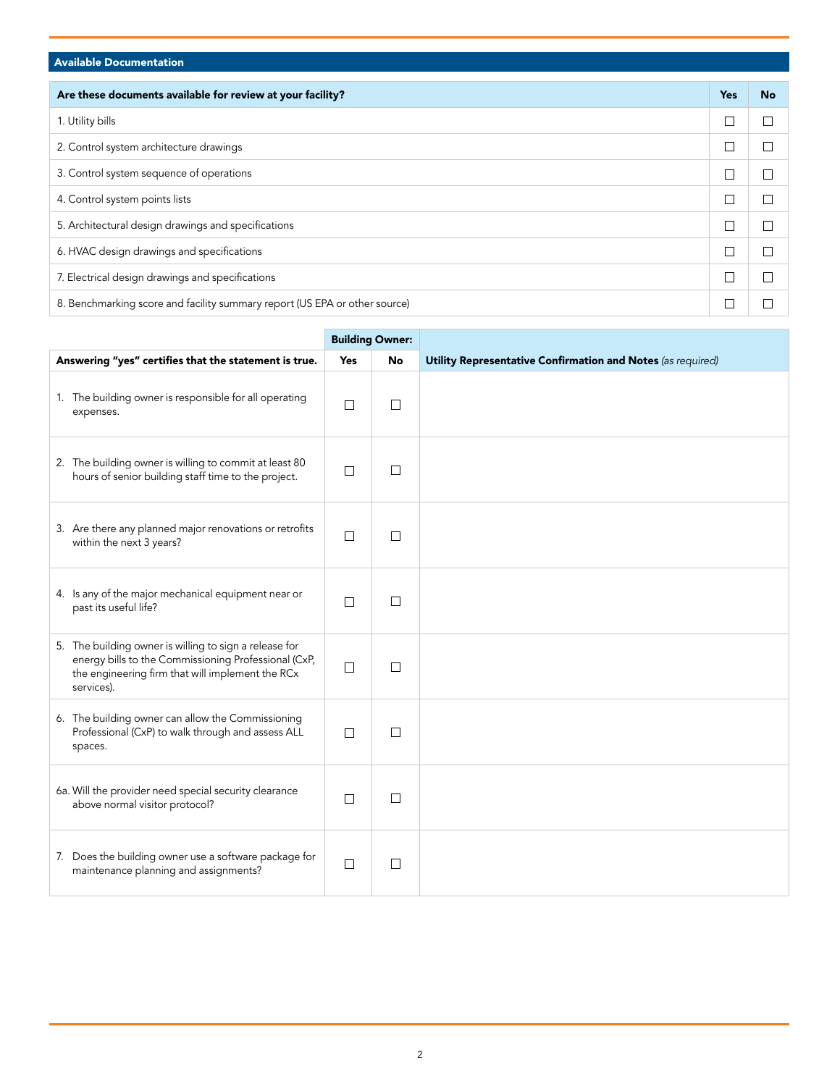## Available Documentation

| Are these documents available for review at your facility?                 | <b>Yes</b> | <b>No</b> |
|----------------------------------------------------------------------------|------------|-----------|
| 1. Utility bills                                                           |            |           |
| 2. Control system architecture drawings                                    |            |           |
| 3. Control system sequence of operations                                   |            |           |
| 4. Control system points lists                                             |            |           |
| 5. Architectural design drawings and specifications                        |            |           |
| 6. HVAC design drawings and specifications                                 |            |           |
| 7. Electrical design drawings and specifications                           |            |           |
| 8. Benchmarking score and facility summary report (US EPA or other source) |            |           |

|                                                                                                                                                                                  |            | <b>Building Owner:</b> |                                                             |
|----------------------------------------------------------------------------------------------------------------------------------------------------------------------------------|------------|------------------------|-------------------------------------------------------------|
| Answering "yes" certifies that the statement is true.                                                                                                                            | <b>Yes</b> | No                     | Utility Representative Confirmation and Notes (as required) |
| 1. The building owner is responsible for all operating<br>expenses.                                                                                                              | $\Box$     | $\Box$                 |                                                             |
| 2. The building owner is willing to commit at least 80<br>hours of senior building staff time to the project.                                                                    | $\Box$     | П                      |                                                             |
| 3. Are there any planned major renovations or retrofits<br>within the next 3 years?                                                                                              | $\Box$     | $\Box$                 |                                                             |
| 4. Is any of the major mechanical equipment near or<br>past its useful life?                                                                                                     | $\Box$     | $\Box$                 |                                                             |
| 5. The building owner is willing to sign a release for<br>energy bills to the Commissioning Professional (CxP,<br>the engineering firm that will implement the RCx<br>services). | $\Box$     | П                      |                                                             |
| 6. The building owner can allow the Commissioning<br>Professional (CxP) to walk through and assess ALL<br>spaces.                                                                | П          | $\Box$                 |                                                             |
| 6a. Will the provider need special security clearance<br>above normal visitor protocol?                                                                                          | $\Box$     | П                      |                                                             |
| 7. Does the building owner use a software package for<br>maintenance planning and assignments?                                                                                   | $\Box$     | $\Box$                 |                                                             |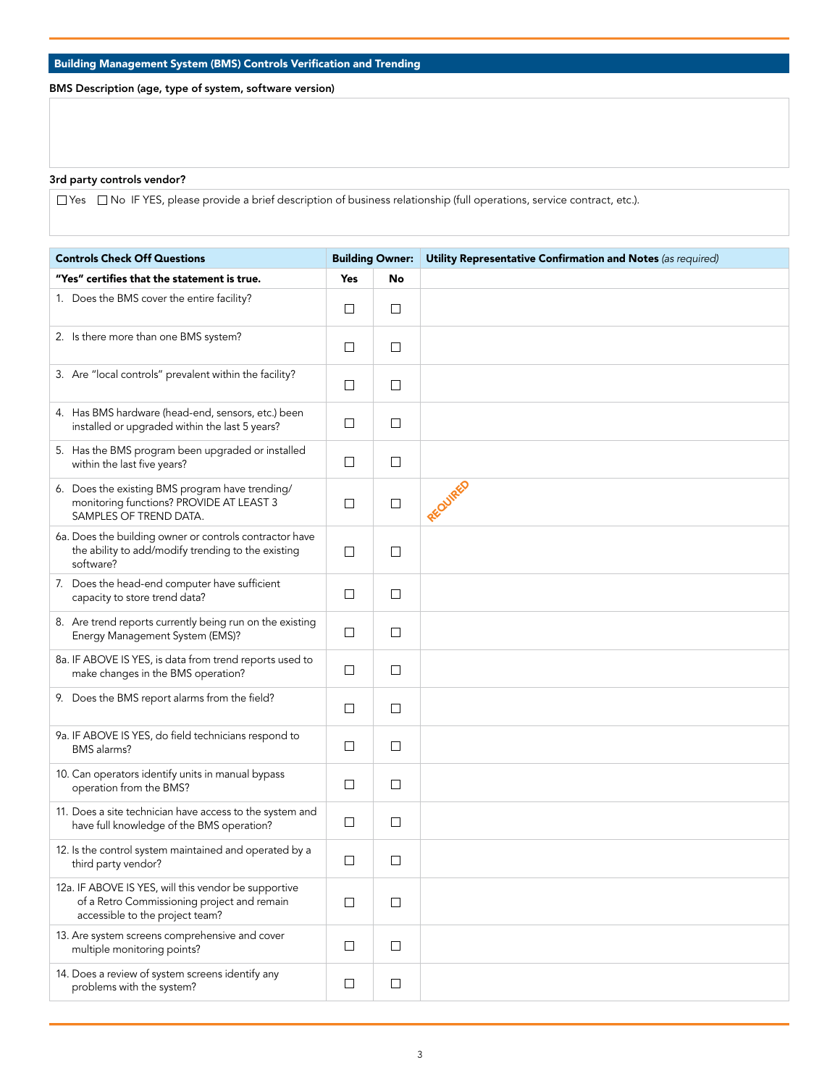## Building Management System (BMS) Controls Verification and Trending

BMS Description (age, type of system, software version)

### 3rd party controls vendor?

 $\Box$  Yes  $\Box$  No IF YES, please provide a brief description of business relationship (full operations, service contract, etc.).

| <b>Controls Check Off Questions</b>                                                                                                    |            | <b>Building Owner:</b> | Utility Representative Confirmation and Notes (as required) |
|----------------------------------------------------------------------------------------------------------------------------------------|------------|------------------------|-------------------------------------------------------------|
| "Yes" certifies that the statement is true.                                                                                            | <b>Yes</b> | No                     |                                                             |
| 1. Does the BMS cover the entire facility?                                                                                             | □          | $\Box$                 |                                                             |
| 2. Is there more than one BMS system?                                                                                                  | $\Box$     | $\Box$                 |                                                             |
| 3. Are "local controls" prevalent within the facility?                                                                                 | $\Box$     | $\Box$                 |                                                             |
| 4. Has BMS hardware (head-end, sensors, etc.) been<br>installed or upgraded within the last 5 years?                                   | ⊔          | $\Box$                 |                                                             |
| 5. Has the BMS program been upgraded or installed<br>within the last five years?                                                       | □          | $\Box$                 |                                                             |
| 6. Does the existing BMS program have trending/<br>monitoring functions? PROVIDE AT LEAST 3<br>SAMPLES OF TREND DATA.                  | $\Box$     | $\Box$                 |                                                             |
| 6a. Does the building owner or controls contractor have<br>the ability to add/modify trending to the existing<br>software?             | $\Box$     | □                      |                                                             |
| 7. Does the head-end computer have sufficient<br>capacity to store trend data?                                                         | $\Box$     | $\Box$                 |                                                             |
| 8. Are trend reports currently being run on the existing<br>Energy Management System (EMS)?                                            | $\Box$     | □                      |                                                             |
| 8a. IF ABOVE IS YES, is data from trend reports used to<br>make changes in the BMS operation?                                          | $\Box$     | $\Box$                 |                                                             |
| 9. Does the BMS report alarms from the field?                                                                                          | □          | $\Box$                 |                                                             |
| 9a. IF ABOVE IS YES, do field technicians respond to<br>BMS alarms?                                                                    | $\Box$     | $\Box$                 |                                                             |
| 10. Can operators identify units in manual bypass<br>operation from the BMS?                                                           | $\Box$     | $\Box$                 |                                                             |
| 11. Does a site technician have access to the system and<br>have full knowledge of the BMS operation?                                  | $\Box$     | □                      |                                                             |
| 12. Is the control system maintained and operated by a<br>third party vendor?                                                          | $\Box$     | $\Box$                 |                                                             |
| 12a. IF ABOVE IS YES, will this vendor be supportive<br>of a Retro Commissioning project and remain<br>accessible to the project team? | $\Box$     | $\Box$                 |                                                             |
| 13. Are system screens comprehensive and cover<br>multiple monitoring points?                                                          | $\Box$     | $\Box$                 |                                                             |
| 14. Does a review of system screens identify any<br>problems with the system?                                                          | $\Box$     | $\Box$                 |                                                             |